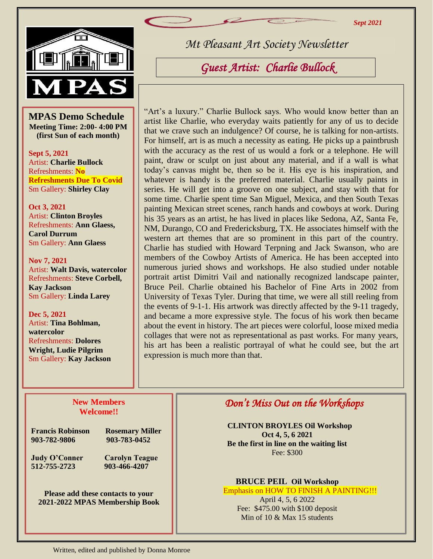*Sept 2021*



Br

 $\frac{1}{\mathbf{S}}$ **MPAS Demo Schedule Meeting Time: 2:00- 4:00 PM (first Sun of each month)**

**Sept 5, 2021** Artist: **Charlie Bullock** Refreshments: **No Refreshments Due To Covid** Sm Gallery: **Shirley Clay**

**Oct 3, 2021**  Artist: **Clinton Broyles** Refreshments: **Ann Glaess, Carol Durrum**  Sm Gallery: **Ann Glaess**

**Nov 7, 2021** Artist: **Walt Davis, watercolor** Refreshments: **Steve Corbell, Kay Jackson** Sm Gallery: **Linda Larey**

**Dec 5, 2021** Artist: **Tina Bohlman, watercolor** Refreshments: **Dolores Wright, Ludie Pilgrim** Sm Gallery: **Kay Jackson** *Mt Pleasant Art Society Newsletter*

*Guest Artist: Charlie Bullock* 

"Art's a luxury." Charlie Bullock says. Who would know better than an artist like Charlie, who everyday waits patiently for any of us to decide that we crave such an indulgence? Of course, he is talking for non-artists. For himself, art is as much a necessity as eating. He picks up a paintbrush with the accuracy as the rest of us would a fork or a telephone. He will paint, draw or sculpt on just about any material, and if a wall is what today's canvas might be, then so be it. His eye is his inspiration, and whatever is handy is the preferred material. Charlie usually paints in series. He will get into a groove on one subject, and stay with that for some time. Charlie spent time San Miguel, Mexica, and then South Texas painting Mexican street scenes, ranch hands and cowboys at work. During his 35 years as an artist, he has lived in places like Sedona, AZ, Santa Fe, NM, Durango, CO and Fredericksburg, TX. He associates himself with the western art themes that are so prominent in this part of the country. Charlie has studied with Howard Terpning and Jack Swanson, who are members of the Cowboy Artists of America. He has been accepted into numerous juried shows and workshops. He also studied under notable portrait artist Dimitri Vail and nationally recognized landscape painter, Bruce Peil. Charlie obtained his Bachelor of Fine Arts in 2002 from University of Texas Tyler. During that time, we were all still reeling from the events of 9-1-1. His artwork was directly affected by the 9-11 tragedy, and became a more expressive style. The focus of his work then became about the event in history. The art pieces were colorful, loose mixed media collages that were not as representational as past works. For many years, his art has been a realistic portrayal of what he could see, but the art expression is much more than that.

## **New Members Welcome!!**

**Francis Robinson Rosemary Miller 903-782-9806 903-783-0452**

**Judy O'Conner Carolyn Teague 512-755-2723 903-466-4207**

**Please add these contacts to your 2021-2022 MPAS Membership Book**

## *Don't Miss Out on the Workshops*

**CLINTON BROYLES Oil Workshop Oct 4, 5, 6 2021 Be the first in line on the waiting list** Fee: \$300

**BRUCE PEIL Oil Workshop** Emphasis on HOW TO FINISH A PAINTING!!!

April 4, 5, 6 2022 Fee: \$475.00 with \$100 deposit Min of 10 & Max 15 students